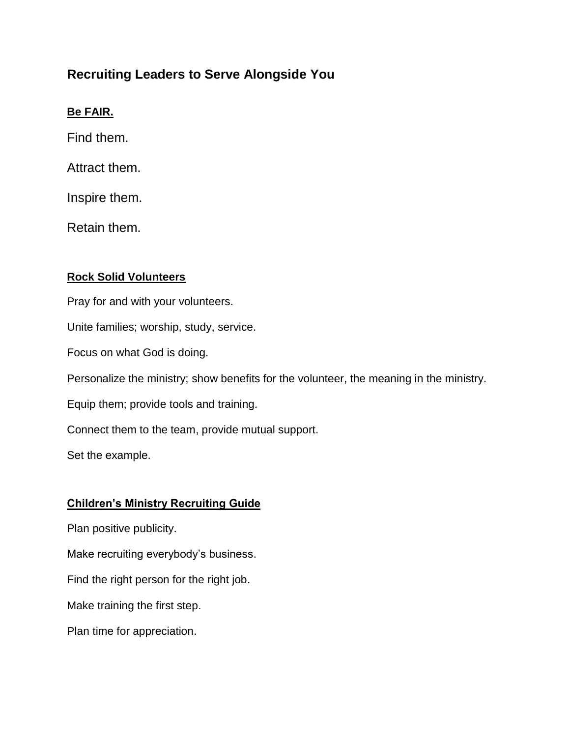# **Recruiting Leaders to Serve Alongside You**

### **Be FAIR.**

Find them.

Attract them.

Inspire them.

Retain them.

#### **Rock Solid Volunteers**

Pray for and with your volunteers. Unite families; worship, study, service. Focus on what God is doing. Personalize the ministry; show benefits for the volunteer, the meaning in the ministry. Equip them; provide tools and training. Connect them to the team, provide mutual support.

Set the example.

## **Children's Ministry Recruiting Guide**

Plan positive publicity.

Make recruiting everybody's business.

Find the right person for the right job.

Make training the first step.

Plan time for appreciation.